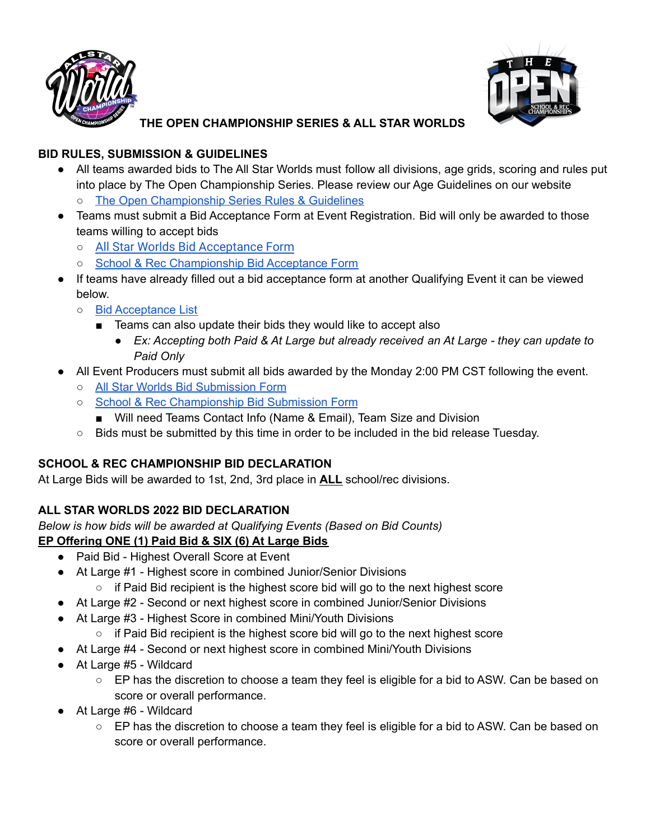



**THE OPEN CHAMPIONSHIP SERIES & ALL STAR WORLDS**

#### **BID RULES, SUBMISSION & GUIDELINES**

- All teams awarded bids to The All Star Worlds must follow all divisions, age grids, scoring and rules put into place by The Open Championship Series. Please review our Age Guidelines on our website
	- o The Open [Championship](https://openchampionshipseries.com/open-championship-series-scoring/) Series Rules & Guidelines
- Teams must submit a Bid Acceptance Form at Event Registration. Bid will only be awarded to those teams willing to accept bids
	- All Star Worlds Bid [Acceptance](https://forms.monday.com/forms/1f4e0d3d4dc73a3e73e5cb5d681119ad?r=use1) Form
	- School & Rec [Championship](https://forms.monday.com/forms/8b1864acb13023ddab21a88fea715598?r=use1) Bid Acceptance Form
- If teams have already filled out a bid acceptance form at another Qualifying Event it can be viewed below.
	- Bid [Acceptance](https://open-championship-series.monday.com) List
		- Teams can also update their bids they would like to accept also
			- *● Ex: Accepting both Paid & At Large but already received an At Large - they can update to Paid Only*
- All Event Producers must submit all bids awarded by the Monday 2:00 PM CST following the event.
	- All Star Worlds Bid [Submission](https://forms.monday.com/forms/1f4e0d3d4dc73a3e73e5cb5d681119ad?r=use1) Form
	- School & Rec [Championship](https://forms.monday.com/forms/7845bd79bdf630448685a606e8fc9201?r=use1) Bid Submission Form
		- Will need Teams Contact Info (Name & Email), Team Size and Division
	- Bids must be submitted by this time in order to be included in the bid release Tuesday.

# **SCHOOL & REC CHAMPIONSHIP BID DECLARATION**

At Large Bids will be awarded to 1st, 2nd, 3rd place in **ALL** school/rec divisions.

# **ALL STAR WORLDS 2022 BID DECLARATION**

*Below is how bids will be awarded at Qualifying Events (Based on Bid Counts)* **EP Offering ONE (1) Paid Bid & SIX (6) At Large Bids**

- Paid Bid Highest Overall Score at Event
- At Large #1 Highest score in combined Junior/Senior Divisions
	- $\circ$  if Paid Bid recipient is the highest score bid will go to the next highest score
- At Large #2 Second or next highest score in combined Junior/Senior Divisions
- At Large #3 Highest Score in combined Mini/Youth Divisions
	- $\circ$  if Paid Bid recipient is the highest score bid will go to the next highest score
- At Large #4 Second or next highest score in combined Mini/Youth Divisions
- At Large #5 Wildcard
	- EP has the discretion to choose a team they feel is eligible for a bid to ASW. Can be based on score or overall performance.
- At Large #6 Wildcard
	- EP has the discretion to choose a team they feel is eligible for a bid to ASW. Can be based on score or overall performance.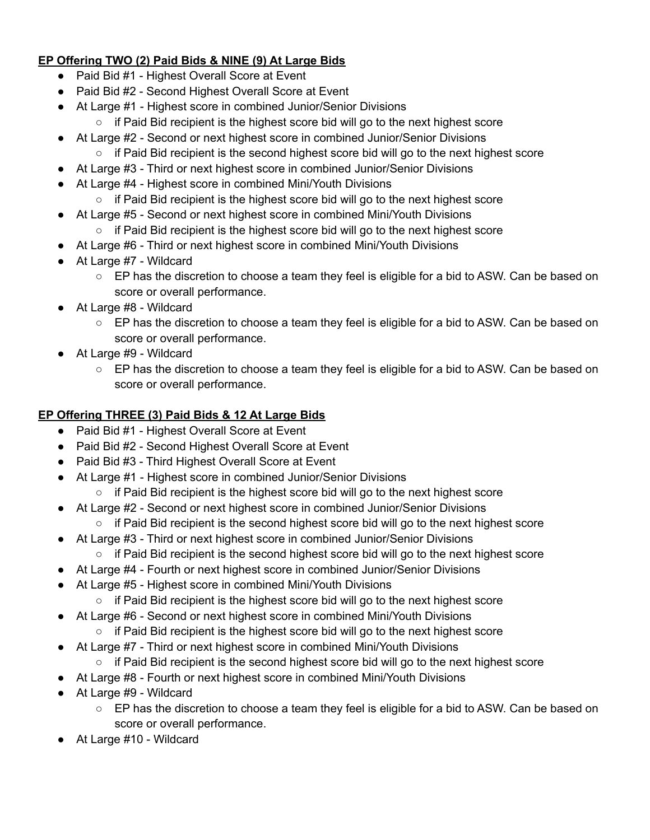### **EP Offering TWO (2) Paid Bids & NINE (9) At Large Bids**

- Paid Bid #1 Highest Overall Score at Event
- Paid Bid #2 Second Highest Overall Score at Event
- At Large #1 Highest score in combined Junior/Senior Divisions
	- $\circ$  if Paid Bid recipient is the highest score bid will go to the next highest score
- At Large #2 Second or next highest score in combined Junior/Senior Divisions
	- $\circ$  if Paid Bid recipient is the second highest score bid will go to the next highest score
- At Large #3 Third or next highest score in combined Junior/Senior Divisions
- At Large #4 Highest score in combined Mini/Youth Divisions
	- $\circ$  if Paid Bid recipient is the highest score bid will go to the next highest score
- At Large #5 Second or next highest score in combined Mini/Youth Divisions
	- $\circ$  if Paid Bid recipient is the highest score bid will go to the next highest score
- At Large #6 Third or next highest score in combined Mini/Youth Divisions
- At Large #7 Wildcard
	- EP has the discretion to choose a team they feel is eligible for a bid to ASW. Can be based on score or overall performance.
- At Large #8 Wildcard
	- EP has the discretion to choose a team they feel is eligible for a bid to ASW. Can be based on score or overall performance.
- At Large #9 Wildcard
	- EP has the discretion to choose a team they feel is eligible for a bid to ASW. Can be based on score or overall performance.

### **EP Offering THREE (3) Paid Bids & 12 At Large Bids**

- Paid Bid #1 Highest Overall Score at Event
- Paid Bid #2 Second Highest Overall Score at Event
- Paid Bid #3 Third Highest Overall Score at Event
- At Large #1 Highest score in combined Junior/Senior Divisions
	- $\circ$  if Paid Bid recipient is the highest score bid will go to the next highest score
- At Large #2 Second or next highest score in combined Junior/Senior Divisions  $\circ$  if Paid Bid recipient is the second highest score bid will go to the next highest score
- At Large #3 Third or next highest score in combined Junior/Senior Divisions
	- $\circ$  if Paid Bid recipient is the second highest score bid will go to the next highest score
- At Large #4 Fourth or next highest score in combined Junior/Senior Divisions
- At Large #5 Highest score in combined Mini/Youth Divisions
	- $\circ$  if Paid Bid recipient is the highest score bid will go to the next highest score
- At Large #6 Second or next highest score in combined Mini/Youth Divisions
	- $\circ$  if Paid Bid recipient is the highest score bid will go to the next highest score
- At Large #7 Third or next highest score in combined Mini/Youth Divisions
- $\circ$  if Paid Bid recipient is the second highest score bid will go to the next highest score
- At Large #8 Fourth or next highest score in combined Mini/Youth Divisions
- At Large #9 Wildcard
	- EP has the discretion to choose a team they feel is eligible for a bid to ASW. Can be based on score or overall performance.
- At Large #10 Wildcard